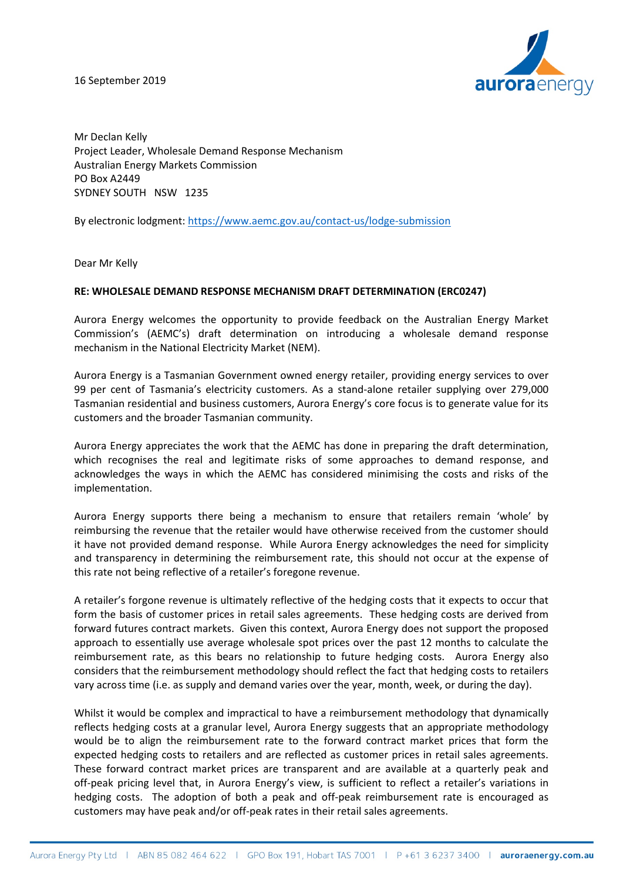16 September 2019



Mr Declan Kelly Project Leader, Wholesale Demand Response Mechanism Australian Energy Markets Commission PO Box A2449 SYDNEY SOUTH NSW 1235

By electronic lodgment[: https://www.aemc.gov.au/contact-us/lodge-submission](https://www.aemc.gov.au/contact-us/lodge-submission)

Dear Mr Kelly

## **RE: WHOLESALE DEMAND RESPONSE MECHANISM DRAFT DETERMINATION (ERC0247)**

Aurora Energy welcomes the opportunity to provide feedback on the Australian Energy Market Commission's (AEMC's) draft determination on introducing a wholesale demand response mechanism in the National Electricity Market (NEM).

Aurora Energy is a Tasmanian Government owned energy retailer, providing energy services to over 99 per cent of Tasmania's electricity customers. As a stand-alone retailer supplying over 279,000 Tasmanian residential and business customers, Aurora Energy's core focus is to generate value for its customers and the broader Tasmanian community.

Aurora Energy appreciates the work that the AEMC has done in preparing the draft determination, which recognises the real and legitimate risks of some approaches to demand response, and acknowledges the ways in which the AEMC has considered minimising the costs and risks of the implementation.

Aurora Energy supports there being a mechanism to ensure that retailers remain 'whole' by reimbursing the revenue that the retailer would have otherwise received from the customer should it have not provided demand response. While Aurora Energy acknowledges the need for simplicity and transparency in determining the reimbursement rate, this should not occur at the expense of this rate not being reflective of a retailer's foregone revenue.

A retailer's forgone revenue is ultimately reflective of the hedging costs that it expects to occur that form the basis of customer prices in retail sales agreements. These hedging costs are derived from forward futures contract markets. Given this context, Aurora Energy does not support the proposed approach to essentially use average wholesale spot prices over the past 12 months to calculate the reimbursement rate, as this bears no relationship to future hedging costs. Aurora Energy also considers that the reimbursement methodology should reflect the fact that hedging costs to retailers vary across time (i.e. as supply and demand varies over the year, month, week, or during the day).

Whilst it would be complex and impractical to have a reimbursement methodology that dynamically reflects hedging costs at a granular level, Aurora Energy suggests that an appropriate methodology would be to align the reimbursement rate to the forward contract market prices that form the expected hedging costs to retailers and are reflected as customer prices in retail sales agreements. These forward contract market prices are transparent and are available at a quarterly peak and off-peak pricing level that, in Aurora Energy's view, is sufficient to reflect a retailer's variations in hedging costs. The adoption of both a peak and off-peak reimbursement rate is encouraged as customers may have peak and/or off-peak rates in their retail sales agreements.